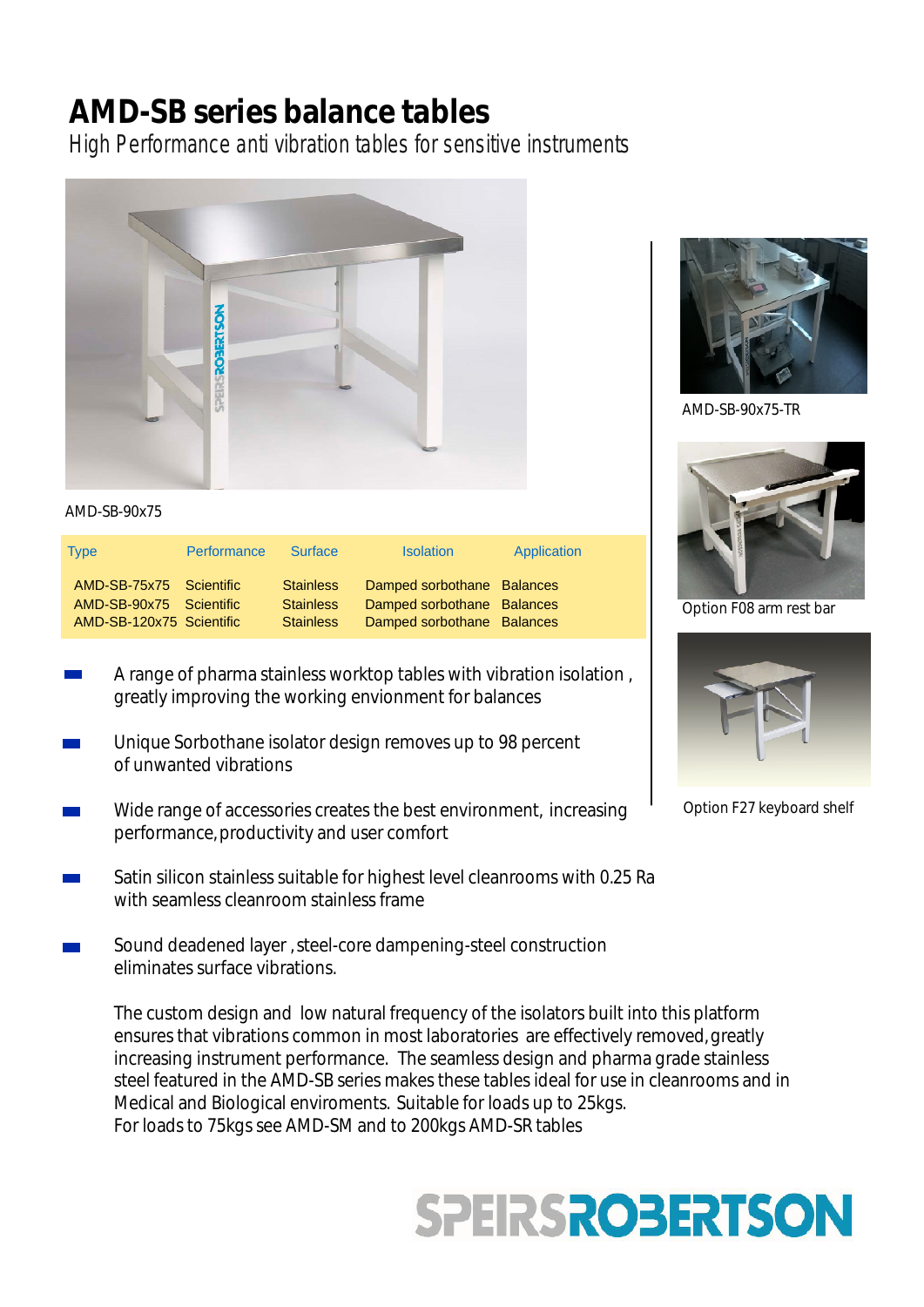## **AMD-SB series balance tables**

High Performance anti vibration tables for sensitive instruments



Type **Performance Surface** Isolation Application AMD-SB-75x75 Scientific Stainless Damped sorbothane Balances AMD-SB-90x75 Scientific Stainless Damped sorbothane Balances<br>AMD-SB-120x75 Scientific Stainless Damped sorbothane Balances Stainless Damped sorbothane Balances

- A range of pharma stainless worktop tables with vibration isolation, greatly improving the working envionment for balances
- Unique Sorbothane isolator design removes up to 98 percent of unwanted vibrations
- Wide range of accessories creates the best environment, increasing performance, productivity and user comfort
- Satin silicon stainless suitable for highest level cleanrooms with 0.25 Ra with seamless cleanroom stainless frame
- Sound deadened layer ,steel-core dampening-steel construction eliminates surface vibrations.

The custom design and low natural frequency of the isolators built into this platform ensures that vibrations common in most laboratories are effectively removed, greatly increasing instrument performance. The seamless design and pharma grade stainless steel featured in the AMD-SB series makes these tables ideal for use in cleanrooms and in Medical and Biological enviroments. Suitable for loads up to 25kgs. For loads to 75kgs see AMD-SM and to 200kgs AMD-SR tables





AMD-SB-90x75-TR



Option F08 arm rest bar



Option F27 keyboard shelf